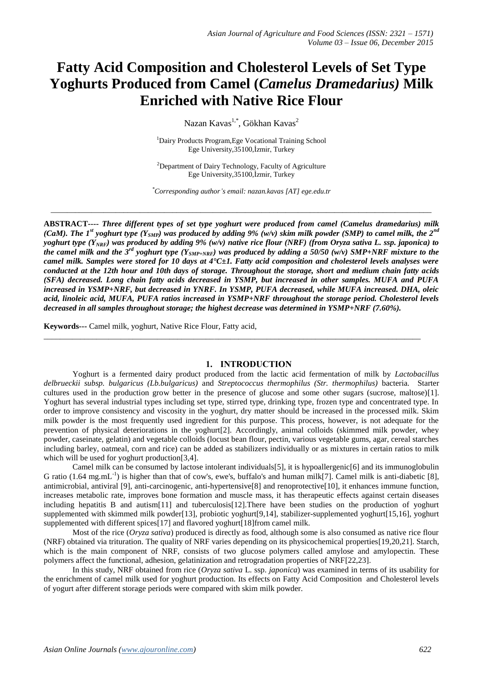# **Fatty Acid Composition and Cholesterol Levels of Set Type Yoghurts Produced from Camel (***Camelus Dramedarius)* **Milk Enriched with Native Rice Flour**

Nazan Kavas $^{1,*}$ , Gökhan Kavas $^2$ 

<sup>1</sup>Dairy Products Program,Ege Vocational Training School Ege University,35100,İzmir, Turkey

<sup>2</sup>Department of Dairy Technology, Faculty of Agriculture Ege University,35100,İzmir, Turkey

*\*Corresponding author's email: nazan.kavas [AT] ege.edu.tr*

\_\_\_\_\_\_\_\_\_\_\_\_\_\_\_\_\_\_\_\_\_\_\_\_\_\_\_\_\_\_\_\_\_\_\_\_\_\_\_\_\_\_\_\_\_\_\_\_\_\_\_\_\_\_\_\_\_\_\_\_\_\_\_\_\_\_\_\_\_\_\_\_\_\_\_\_\_\_\_\_\_\_\_\_\_\_\_\_\_\_\_\_\_\_

**ABSTRACT----** *Three different types of set type yoghurt were produced from camel (Camelus dramedarius) milk (CaM). The 1<sup>st</sup> yoghurt type (Y<sub>SMP</sub>) was produced by adding 9% (w/v) skim milk powder (SMP) to camel milk, the 2<sup>nd</sup> yoghurt type (YNRF) was produced by adding 9% (w/v) native rice flour (NRF) (from Oryza sativa L. ssp. japonica) to the camel milk and the 3rd yoghurt type (YSMP+NRF) was produced by adding a 50/50 (w/v) SMP+NRF mixture to the camel milk. Samples were stored for 10 days at 4°C±1. Fatty acid composition and cholesterol levels analyses were conducted at the 12th hour and 10th days of storage. Throughout the storage, short and medium chain fatty acids (SFA) decreased. Long chain fatty acids decreased in YSMP, but increased in other samples. MUFA and PUFA increased in YSMP+NRF, but decreased in YNRF. In YSMP, PUFA decreased, while MUFA increased. DHA, oleic acid, linoleic acid, MUFA, PUFA ratios increased in YSMP+NRF throughout the storage period. Cholesterol levels decreased in all samples throughout storage; the highest decrease was determined in YSMP+NRF (7.60%).* 

**Keywords---** Camel milk, yoghurt, Native Rice Flour, Fatty acid,

#### **1. INTRODUCTION**

\_\_\_\_\_\_\_\_\_\_\_\_\_\_\_\_\_\_\_\_\_\_\_\_\_\_\_\_\_\_\_\_\_\_\_\_\_\_\_\_\_\_\_\_\_\_\_\_\_\_\_\_\_\_\_\_\_\_\_\_\_\_\_\_\_\_\_\_\_\_\_\_\_\_\_\_\_\_\_\_\_\_\_\_\_\_\_\_\_\_\_\_\_

Yoghurt is a fermented dairy product produced from the lactic acid fermentation of milk by *Lactobacillus delbrueckii subsp. bulgaricus (Lb.bulgaricus)* and *Streptococcus thermophilus (Str. thermophilus)* bacteria*.* Starter cultures used in the production grow better in the presence of glucose and some other sugars (sucrose, maltose)[1]. Yoghurt has several industrial types including set type, stirred type, drinking type, frozen type and concentrated type. In order to improve consistency and viscosity in the yoghurt, dry matter should be increased in the processed milk. Skim milk powder is the most frequently used ingredient for this purpose. This process, however, is not adequate for the prevention of physical deteriorations in the yoghurt[2]. Accordingly, animal colloids (skimmed milk powder, whey powder, caseinate, gelatin) and vegetable colloids (locust bean flour, pectin, various vegetable gums, agar, cereal starches including barley, oatmeal, corn and rice) can be added as stabilizers individually or as mixtures in certain ratios to milk which will be used for yoghurt production[3,4].

Camel milk can be consumed by lactose intolerant individuals[5], it is hypoallergenic[6] and its immunoglobulin G ratio  $(1.64 \text{ mg.mL}^{-1})$  is higher than that of cow's, ewe's, buffalo's and human milk[7]. Camel milk is anti-diabetic [8], antimicrobial, antiviral [9], anti-carcinogenic, anti-hypertensive[8] and renoprotective[10], it enhances immune function, increases metabolic rate, improves bone formation and muscle mass, it has therapeutic effects against certain diseases including hepatitis B and autism[11] and tuberculosis[12].There have been studies on the production of yoghurt supplemented with skimmed milk powder[13], probiotic yoghurt[9,14], stabilizer-supplemented yoghurt[15,16], yoghurt supplemented with different spices[17] and flavored yoghurt[18]from camel milk.

Most of the rice (*Oryza sativa*) produced is directly as food, although some is also consumed as native rice flour (NRF) obtained via trituration. The quality of NRF varies depending on its physicochemical properties[19,20,21]. Starch, which is the main component of NRF, consists of two glucose polymers called amylose and amylopectin. These polymers affect the functional, adhesion, gelatinization and retrogradation properties of NRF[22,23].

In this study, NRF obtained from rice (*Oryza sativa* L. ssp. *japonica*) was examined in terms of its usability for the enrichment of camel milk used for yoghurt production. Its effects on Fatty Acid Composition and Cholesterol levels of yogurt after different storage periods were compared with skim milk powder.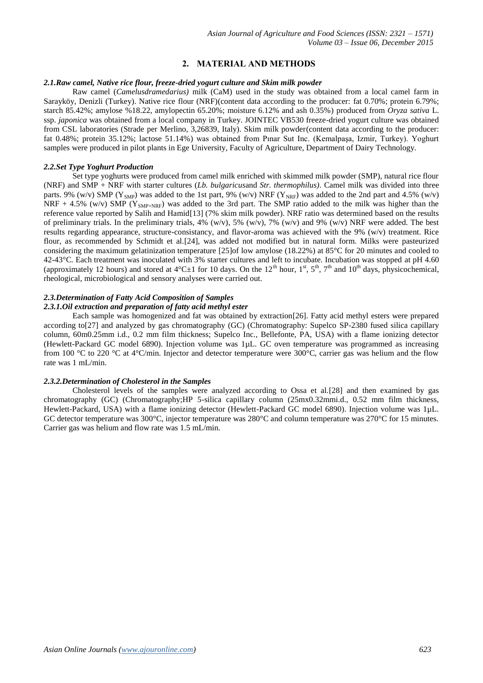# **2. MATERIAL AND METHODS**

### *2.1.Raw camel, Native rice flour, freeze-dried yogurt culture and Skim milk powder*

Raw camel (*Camelusdramedarius)* milk (CaM) used in the study was obtained from a local camel farm in Sarayköy, Denizli (Turkey). Native rice flour (NRF)(content data according to the producer: fat 0.70%; protein 6.79%; starch 85.42%; amylose %18.22, amylopectin 65.20%; moisture 6.12% and ash 0.35%) produced from *Oryza sativa* L. ssp. *japonica* was obtained from a local company in Turkey. JOINTEC VB530 freeze-dried yogurt culture was obtained from CSL laboratories (Strade per Merlino, 3,26839, Italy). Skim milk powder(content data according to the producer: fat 0.48%; protein 35.12%; lactose 51.14%) was obtained from Pınar Sut Inc. (Kemalpaşa, Izmir, Turkey). Yoghurt samples were produced in pilot plants in Ege University, Faculty of Agriculture, Department of Dairy Technology.

### *2.2.Set Type Yoghurt Production*

Set type yoghurts were produced from camel milk enriched with skimmed milk powder (SMP), natural rice flour (NRF) and SMP + NRF with starter cultures (*Lb. bulgaricus*and *Str. thermophilus)*. Camel milk was divided into three parts. 9% (w/v) SMP ( $Y_{SNP}$ ) was added to the 1st part, 9% (w/v) NRF ( $Y_{NRF}$ ) was added to the 2nd part and 4.5% (w/v) NRF + 4.5% (w/v) SMP ( $Y_{\text{SMP+NRF}}$ ) was added to the 3rd part. The SMP ratio added to the milk was higher than the reference value reported by Salih and Hamid[13] (7% skim milk powder). NRF ratio was determined based on the results of preliminary trials. In the preliminary trials,  $4\%$  (w/v),  $5\%$  (w/v),  $7\%$  (w/v) and 9% (w/v) NRF were added. The best results regarding appearance, structure-consistancy, and flavor-aroma was achieved with the 9% (w/v) treatment. Rice flour, as recommended by Schmidt et al.[24], was added not modified but in natural form. Milks were pasteurized considering the maximum gelatinization temperature [25]of low amylose (18.22%) at 85°C for 20 minutes and cooled to 42-43°C. Each treatment was inoculated with 3% starter cultures and left to incubate. Incubation was stopped at pH 4.60 (approximately 12 hours) and stored at 4°C $\pm$ 1 for 10 days. On the 12<sup>th</sup> hour, 1<sup>st</sup>, 5<sup>th</sup>, 7<sup>th</sup> and 10<sup>th</sup> days, physicochemical, rheological, microbiological and sensory analyses were carried out.

# *2.3.Determination of Fatty Acid Composition of Samples*

#### *2.3.1.Oil extraction and preparation of fatty acid methyl ester*

Each sample was homogenized and fat was obtained by extraction[26]. Fatty acid methyl esters were prepared according to[27] and analyzed by gas chromatography (GC) (Chromatography: Supelco SP-2380 fused silica capillary column, 60m0.25mm i.d., 0.2 mm film thickness; Supelco Inc., Bellefonte, PA, USA) with a flame ionizing detector (Hewlett-Packard GC model 6890). Injection volume was 1µL. GC oven temperature was programmed as increasing from 100 °C to 220 °C at 4°C/min. Injector and detector temperature were 300°C, carrier gas was helium and the flow rate was 1 mL/min.

# *2.3.2.Determination of Cholesterol in the Samples*

Cholesterol levels of the samples were analyzed according to Ossa et al.[28] and then examined by gas chromatography (GC) (Chromatography;HP 5-silica capillary column (25mx0.32mmi.d., 0.52 mm film thickness, Hewlett-Packard, USA) with a flame ionizing detector (Hewlett-Packard GC model 6890). Injection volume was 1µL. GC detector temperature was 300°C, injector temperature was 280°C and column temperature was 270°C for 15 minutes. Carrier gas was helium and flow rate was 1.5 mL/min.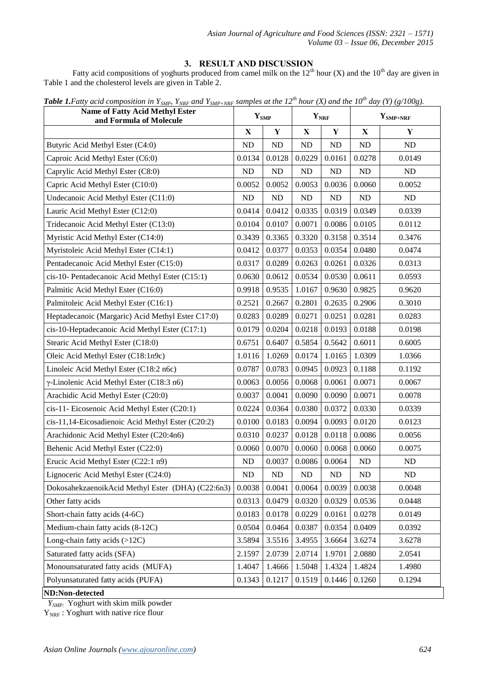# **3. RESULT AND DISCUSSION**

Fatty acid compositions of yoghurts produced from camel milk on the  $12<sup>th</sup>$  hour (X) and the  $10<sup>th</sup>$  day are given in Table 1 and the cholesterol levels are given in Table 2.

| <b>Name of Fatty Acid Methyl Ester</b><br>and Formula of Molecule | $Y_{SMP}$   |        | $Y_{\text{NRF}}$ |             | $Y_{\text{SMP+NRF}}$ |           |
|-------------------------------------------------------------------|-------------|--------|------------------|-------------|----------------------|-----------|
|                                                                   | $\mathbf X$ | Y      | $\mathbf X$      | $\mathbf Y$ | $\mathbf X$          | Y         |
| Butyric Acid Methyl Ester (C4:0)                                  | ND          | ND     | ND               | ND          | ND                   | <b>ND</b> |
| Caproic Acid Methyl Ester (C6:0)                                  | 0.0134      | 0.0128 | 0.0229           | 0.0161      | 0.0278               | 0.0149    |
| Caprylic Acid Methyl Ester (C8:0)                                 | ND          | ND     | ND               | ND          | ND                   | ND        |
| Capric Acid Methyl Ester (C10:0)                                  | 0.0052      | 0.0052 | 0.0053           | 0.0036      | 0.0060               | 0.0052    |
| Undecanoic Acid Methyl Ester (C11:0)                              | ND          | ND     | ND               | $\rm ND$    | ND                   | ND        |
| Lauric Acid Methyl Ester (C12:0)                                  | 0.0414      | 0.0412 | 0.0335           | 0.0319      | 0.0349               | 0.0339    |
| Tridecanoic Acid Methyl Ester (C13:0)                             | 0.0104      | 0.0107 | 0.0071           | 0.0086      | 0.0105               | 0.0112    |
| Myristic Acid Methyl Ester (C14:0)                                | 0.3439      | 0.3365 | 0.3320           | 0.3158      | 0.3514               | 0.3476    |
| Myristoleic Acid Methyl Ester (C14:1)                             | 0.0412      | 0.0377 | 0.0353           | 0.0354      | 0.0480               | 0.0474    |
| Pentadecanoic Acid Methyl Ester (C15:0)                           | 0.0317      | 0.0289 | 0.0263           | 0.0261      | 0.0326               | 0.0313    |
| cis-10- Pentadecanoic Acid Methyl Ester (C15:1)                   | 0.0630      | 0.0612 | 0.0534           | 0.0530      | 0.0611               | 0.0593    |
| Palmitic Acid Methyl Ester (C16:0)                                | 0.9918      | 0.9535 | 1.0167           | 0.9630      | 0.9825               | 0.9620    |
| Palmitoleic Acid Methyl Ester (C16:1)                             | 0.2521      | 0.2667 | 0.2801           | 0.2635      | 0.2906               | 0.3010    |
| Heptadecanoic (Margaric) Acid Methyl Ester C17:0)                 | 0.0283      | 0.0289 | 0.0271           | 0.0251      | 0.0281               | 0.0283    |
| cis-10-Heptadecanoic Acid Methyl Ester (C17:1)                    | 0.0179      | 0.0204 | 0.0218           | 0.0193      | 0.0188               | 0.0198    |
| Stearic Acid Methyl Ester (C18:0)                                 | 0.6751      | 0.6407 | 0.5854           | 0.5642      | 0.6011               | 0.6005    |
| Oleic Acid Methyl Ester (C18:1n9c)                                | 1.0116      | 1.0269 | 0.0174           | 1.0165      | 1.0309               | 1.0366    |
| Linoleic Acid Methyl Ester (C18:2 n6c)                            | 0.0787      | 0.0783 | 0.0945           | 0.0923      | 0.1188               | 0.1192    |
| γ-Linolenic Acid Methyl Ester (C18:3 n6)                          | 0.0063      | 0.0056 | 0.0068           | 0.0061      | 0.0071               | 0.0067    |
| Arachidic Acid Methyl Ester (C20:0)                               | 0.0037      | 0.0041 | 0.0090           | 0.0090      | 0.0071               | 0.0078    |
| cis-11- Eicosenoic Acid Methyl Ester (C20:1)                      | 0.0224      | 0.0364 | 0.0380           | 0.0372      | 0.0330               | 0.0339    |
| cis-11,14-Eicosadienoic Acid Methyl Ester (C20:2)                 | 0.0100      | 0.0183 | 0.0094           | 0.0093      | 0.0120               | 0.0123    |
| Arachidonic Acid Methyl Ester (C20:4n6)                           | 0.0310      | 0.0237 | 0.0128           | 0.0118      | 0.0086               | 0.0056    |
| Behenic Acid Methyl Ester (C22:0)                                 | 0.0060      | 0.0070 | 0.0060           | 0.0068      | 0.0060               | 0.0075    |
| Erucic Acid Methyl Ester (C22:1 n9)                               | ND          | 0.0037 | 0.0086           | 0.0064      | $\rm ND$             | <b>ND</b> |
| Lignoceric Acid Methyl Ester (C24:0)                              | ND          | ND     | ND               | ND          | ND                   | $\rm ND$  |
| DokosahekzaenoikAcid Methyl Ester (DHA) (C22:6n3)                 | 0.0038      | 0.0041 | 0.0064           | 0.0039      | 0.0038               | 0.0048    |
| Other fatty acids                                                 | 0.0313      | 0.0479 | 0.0320           | 0.0329      | 0.0536               | 0.0448    |
| Short-chain fatty acids (4-6C)                                    | 0.0183      | 0.0178 | 0.0229           | 0.0161      | 0.0278               | 0.0149    |
| Medium-chain fatty acids (8-12C)                                  | 0.0504      | 0.0464 | 0.0387           | 0.0354      | 0.0409               | 0.0392    |
| Long-chain fatty acids $(>12C)$                                   | 3.5894      | 3.5516 | 3.4955           | 3.6664      | 3.6274               | 3.6278    |
| Saturated fatty acids (SFA)                                       | 2.1597      | 2.0739 | 2.0714           | 1.9701      | 2.0880               | 2.0541    |
| Monounsaturated fatty acids (MUFA)                                | 1.4047      | 1.4666 | 1.5048           | 1.4324      | 1.4824               | 1.4980    |
| Polyunsaturated fatty acids (PUFA)                                | 0.1343      | 0.1217 | 0.1519           | 0.1446      | 0.1260               | 0.1294    |
| ND:Non-detected                                                   |             |        |                  |             |                      |           |

*Table 1.Fatty acid composition in Y<sub>SMP</sub>, Y<sub>NRF</sub> and Y<sub>SMP+NRF</sub> samples at the 12<sup>th</sup> hour (X) and the 10<sup>th</sup> day (Y) (g/100g).* 

 *YSMP:* Yoghurt with skim milk powder

 $Y<sub>NRF</sub>$ : Yoghurt with native rice flour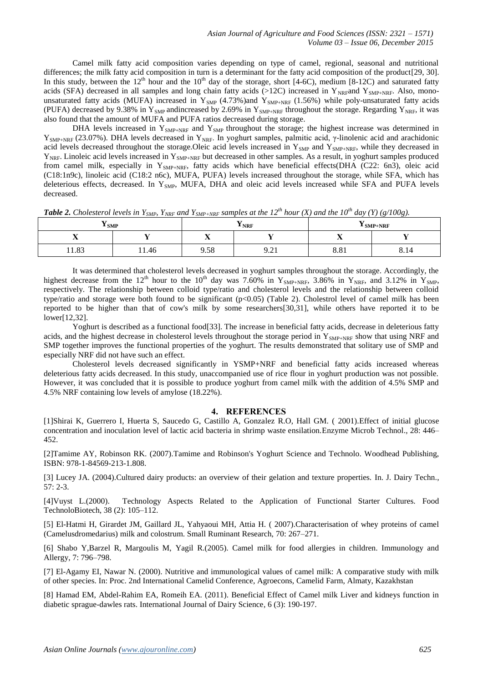Camel milk fatty acid composition varies depending on type of camel, regional, seasonal and nutritional differences; the milk fatty acid composition in turn is a determinant for the fatty acid composition of the product[29, 30]. In this study, between the  $12^{th}$  hour and the  $10^{th}$  day of the storage, short [4-6C), medium [8-12C) and saturated fatty acids (SFA) decreased in all samples and long chain fatty acids (>12C) increased in Y<sub>NRF</sub>and Y<sub>SMP+NRF</sub>. Also, monounsaturated fatty acids (MUFA) increased in  $Y_{\text{SMP}}$  (4.73%)and  $Y_{\text{SMP+NRF}}$  (1.56%) while poly-unsaturated fatty acids (PUFA) decreased by 9.38% in Y<sub>SMP</sub> andincreased by 2.69% in Y<sub>SMP+NRF</sub> throughout the storage. Regarding Y<sub>NRF</sub>, it was also found that the amount of MUFA and PUFA ratios decreased during storage.

DHA levels increased in  $Y_{\text{SMP+NRF}}$  and  $Y_{\text{SMP}}$  throughout the storage; the highest increase was determined in  $Y_{\text{SNP+NRF}}$  (23.07%). DHA levels decreased in  $Y_{\text{NRF}}$ . In yoghurt samples, palmitic acid, γ-linolenic acid and arachidonic acid levels decreased throughout the storage. Oleic acid levels increased in  $Y_{SMP}$  and  $Y_{SMP+NRF}$ , while they decreased in  $Y_{NRF}$ . Linoleic acid levels increased in  $Y_{NRF+NEF}$  but decreased in other samples. As a result, in yoghurt samples produced from camel milk, especially in  $Y_{\text{SMP+NEF}}$ , fatty acids which have beneficial effects(DHA (C22: 6n3), oleic acid (C18:1n9c), linoleic acid (C18:2 n6c), MUFA, PUFA) levels increased throughout the storage, while SFA, which has deleterious effects, decreased. In Y<sub>SMP</sub>, MUFA, DHA and oleic acid levels increased while SFA and PUFA levels decreased.

| $\frac{1}{2}$ SMP |       | $ -$<br><sup>1</sup> NRF | $\mathbf{I}$ SMP+NRF      |      |                        |
|-------------------|-------|--------------------------|---------------------------|------|------------------------|
| $\overline{ }$    |       | $\overline{\phantom{a}}$ |                           | . .  |                        |
| 11.83             | 11.46 | $\sim$ $\sim$<br>9.58    | $\sim$<br>. .<br><i>,</i> | 8.81 | -<br><u>.,</u><br>0.14 |

*Table 2. Cholesterol levels in Y<sub>SMP</sub>*, Y<sub>NRF</sub> and Y<sub>SMP+NRF</sub> samples at the 12<sup>th</sup> hour (X) and the 10<sup>th</sup> day (Y) (g/100g).

It was determined that cholesterol levels decreased in yoghurt samples throughout the storage. Accordingly, the highest decrease from the 12<sup>th</sup> hour to the 10<sup>th</sup> day was 7.60% in Y<sub>SMP+NRF</sub>, 3.86% in Y<sub>NRF</sub>, and 3.12% in Y<sub>SMP</sub>, respectively. The relationship between colloid type/ratio and cholesterol levels and the relationship between colloid type/ratio and storage were both found to be significant (p<0.05) (Table 2). Cholestrol level of camel milk has been reported to be higher than that of cow's milk by some researchers[30,31], while others have reported it to be lower[12,32].

Yoghurt is described as a functional food[33]. The increase in beneficial fatty acids, decrease in deleterious fatty acids, and the highest decrease in cholesterol levels throughout the storage period in  $Y_{SNP+NF}$  show that using NRF and SMP together improves the functional properties of the yoghurt. The results demonstrated that solitary use of SMP and especially NRF did not have such an effect.

Cholesterol levels decreased significantly in YSMP+NRF and beneficial fatty acids increased whereas deleterious fatty acids decreased. In this study, unaccompanied use of rice flour in yoghurt production was not possible. However, it was concluded that it is possible to produce yoghurt from camel milk with the addition of 4.5% SMP and 4.5% NRF containing low levels of amylose (18.22%).

# **4. REFERENCES**

[1]Shirai K, Guerrero I, Huerta S, Saucedo G, Castillo A, Gonzalez R.O, Hall GM. ( 2001).Effect of initial glucose concentration and inoculation level of lactic acid bacteria in shrimp waste ensilation.Enzyme Microb Technol., 28: 446– 452.

[2]Tamime AY, Robinson RK. (2007).Tamime and Robinson's Yoghurt Science and Technolo. Woodhead Publishing, ISBN: 978-1-84569-213-1.808.

[3] Lucey JA. (2004).Cultured dairy products: an overview of their gelation and texture properties. In. J. Dairy Techn., 57: 2-3.

[4]Vuyst L.(2000). Technology Aspects Related to the Application of Functional Starter Cultures. Food TechnoloBiotech, 38 (2): 105–112.

[5] El-Hatmi H, Girardet JM, Gaillard JL, Yahyaoui MH, Attia H. ( 2007).Characterisation of whey proteins of camel (Camelusdromedarius) milk and colostrum. Small Ruminant Research, 70: 267–271.

[6] Shabo Y,Barzel R, Margoulis M, Yagil R.(2005). Camel milk for food allergies in children. Immunology and Allergy, 7: 796–798.

[7] El-Agamy EI, Nawar N. (2000). Nutritive and immunological values of camel milk: A comparative study with milk of other species. In: Proc. 2nd International Camelid Conference, Agroecons, Camelid Farm, Almaty, Kazakhstan

[8] Hamad EM, Abdel-Rahim EA, Romeih EA. (2011). Beneficial Effect of Camel milk Liver and kidneys function in diabetic sprague-dawles rats. International Journal of Dairy Science, 6 (3): 190-197.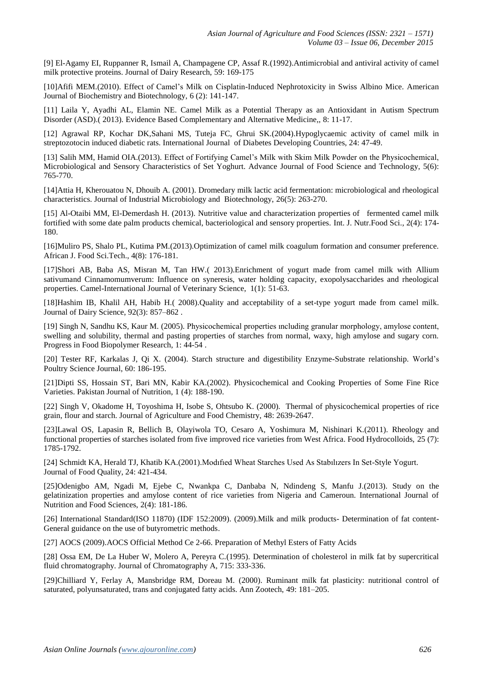[9] El-Agamy EI, Ruppanner R, Ismail A, Champagene CP, Assaf R.(1992).Antimicrobial and antiviral activity of camel milk protective proteins. Journal of Dairy Research, 59: 169-175

[10]Afifi MEM.(2010). Effect of Camel's Milk on Cisplatin-Induced Nephrotoxicity in Swiss Albino Mice. American Journal of Biochemistry and Biotechnology, 6 (2): 141-147.

[11] Laila Y, Ayadhi AL, Elamin NE. Camel Milk as a Potential Therapy as an Antioxidant in Autism Spectrum Disorder (ASD).( 2013). Evidence Based Complementary and Alternative Medicine,, 8: 11-17.

[12] Agrawal RP, Kochar DK,Sahani MS, Tuteja FC, Ghrui SK.(2004).Hypoglycaemic activity of camel milk in streptozotocin induced diabetic rats. International Journal of Diabetes Developing Countries, 24: 47-49.

[13] Salih MM, Hamid OIA.(2013). Effect of Fortifying Camel's Milk with Skim Milk Powder on the Physicochemical, Microbiological and Sensory Characteristics of Set Yoghurt. Advance Journal of Food Science and Technology, 5(6): 765-770.

[14]Attia H, Kherouatou N, Dhouib A. (2001). Dromedary milk lactic acid fermentation: microbiological and rheological characteristics. Journal of Industrial Microbiology and Biotechnology, 26(5): 263-270.

[15] Al-Otaibi MM, El-Demerdash H. (2013). Nutritive value and characterization properties of fermented camel milk fortified with some date palm products chemical, bacteriological and sensory properties. Int. J. Nutr.Food Sci., 2(4): 174- 180.

[16]Muliro PS, Shalo PL, Kutima PM.(2013).Optimization of camel milk coagulum formation and consumer preference. African J. Food Sci.Tech., 4(8): 176-181.

[17]Shori AB, Baba AS, Misran M, Tan HW.( 2013).Enrichment of yogurt made from camel milk with Allium sativumand Cinnamomumverum: Influence on syneresis, water holding capacity, exopolysaccharides and rheological properties. Camel-International Journal of Veterinary Science, 1(1): 51-63.

[18]Hashim IB, Khalil AH, Habib H.( 2008).Quality and acceptability of a set-type yogurt made from camel milk. Journal of Dairy Science, 92(3): 857–862 .

[19] Singh N, Sandhu KS, Kaur M. (2005). Physicochemical properties ıncluding granular morphology, amylose content, swelling and solubility, thermal and pasting properties of starches from normal, waxy, high amylose and sugary corn. Progress in Food Biopolymer Research, 1: 44-54 .

[20] Tester RF, Karkalas J, Qi X. (2004). Starch structure and digestibility Enzyme-Substrate relationship. World's Poultry Science Journal, 60: 186-195.

[21]Dipti SS, Hossain ST, Bari MN, Kabir KA.(2002). Physicochemical and Cooking Properties of Some Fine Rice Varieties. Pakistan Journal of Nutrition, 1 (4): 188-190.

[22] Singh V, Okadome H, Toyoshima H, Isobe S, Ohtsubo K. (2000). Thermal of physicochemical properties of rice grain, flour and starch. Journal of Agriculture and Food Chemistry, 48: 2639-2647.

[23]Lawal OS, Lapasin R, Bellich B, Olayiwola TO, Cesaro A, Yoshimura M, Nishinari K.(2011). Rheology and functional properties of starches isolated from five improved rice varieties from West Africa. Food Hydrocolloids, 25 (7): 1785-1792.

[24] Schmidt KA, Herald TJ, Khatib KA.(2001).Modıfıed Wheat Starches Used As Stabılızers In Set-Style Yogurt. Journal of Food Quality, 24: 421-434.

[25]Odenigbo AM, Ngadi M, Ejebe C, Nwankpa C, Danbaba N, Ndindeng S, Manfu J.(2013). Study on the gelatinization properties and amylose content of rice varieties from Nigeria and Cameroun. International Journal of Nutrition and Food Sciences, 2(4): 181-186.

[26] International Standard(ISO 11870) (IDF 152:2009). (2009).Milk and milk products- Determination of fat content-General guidance on the use of butyrometric methods.

[27] AOCS (2009).AOCS Official Method Ce 2-66. Preparation of Methyl Esters of Fatty Acids

[28] Ossa EM, De La Huber W, Molero A, Pereyra C.(1995). Determination of cholesterol in milk fat by supercritical fluid chromatography. Journal of Chromatography A, 715: 333-336.

[29]Chilliard Y, Ferlay A, Mansbridge RM, Doreau M. (2000). Ruminant milk fat plasticity: nutritional control of saturated, polyunsaturated, trans and conjugated fatty acids. Ann Zootech, 49: 181–205.